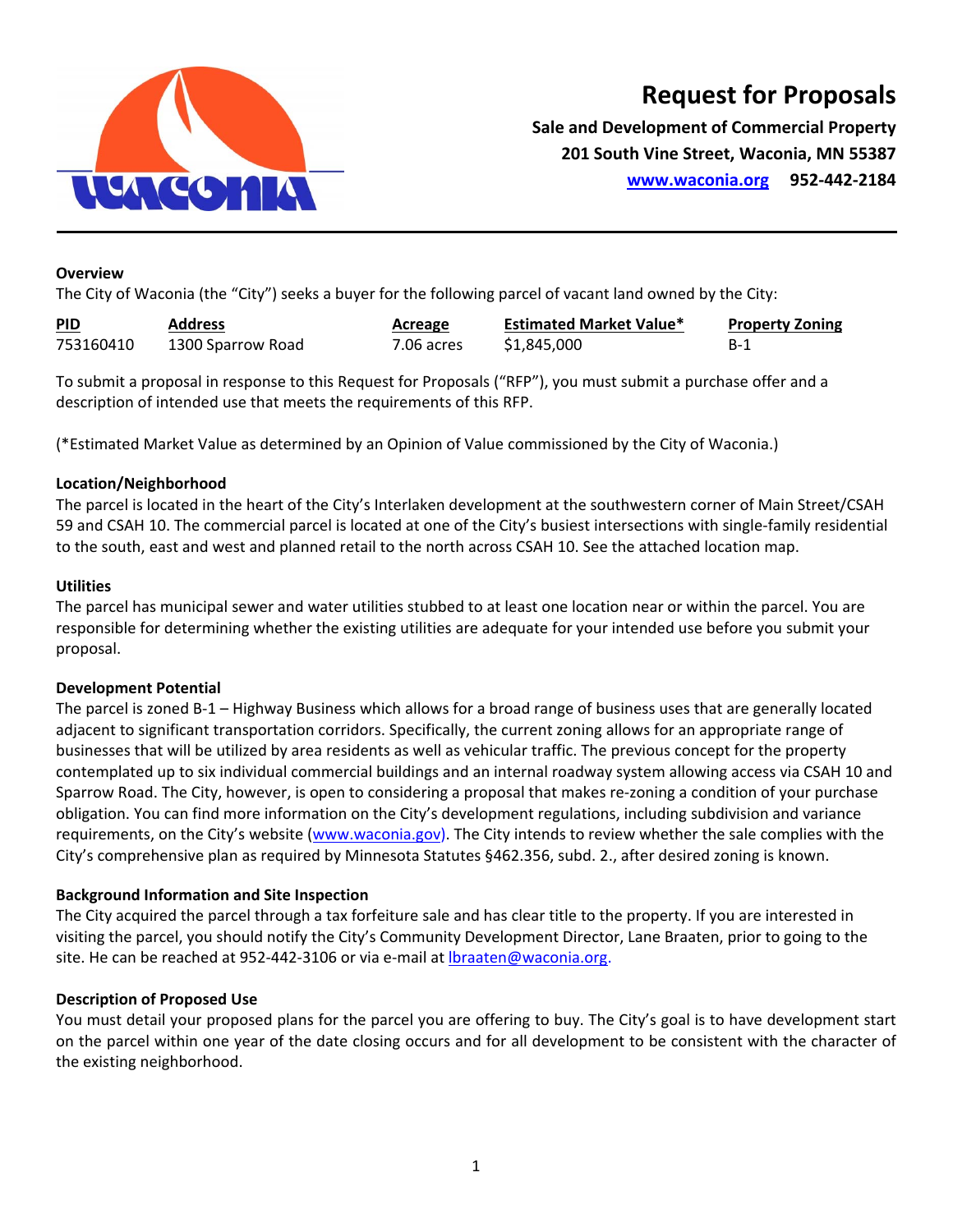

## **Request for Proposals**

**Sale and Development of Commercial Property 201 South Vine Street, Waconia, MN 55387 www.waconia.org 952‐442‐2184**

#### **Overview**

The City of Waconia (the "City") seeks a buyer for the following parcel of vacant land owned by the City:

| <b>PID</b><br><b>Contract Contract Contract</b> | <b>Address</b>    | Acreage    | <b>Estimated Market Value*</b> | <b>Property Zoning</b> |
|-------------------------------------------------|-------------------|------------|--------------------------------|------------------------|
| 753160410                                       | 1300 Sparrow Road | 7.06 acres | \$1,845,000                    | B-1                    |

To submit a proposal in response to this Request for Proposals ("RFP"), you must submit a purchase offer and a description of intended use that meets the requirements of this RFP.

(\*Estimated Market Value as determined by an Opinion of Value commissioned by the City of Waconia.)

#### **Location/Neighborhood**

The parcel is located in the heart of the City's Interlaken development at the southwestern corner of Main Street/CSAH 59 and CSAH 10. The commercial parcel is located at one of the City's busiest intersections with single‐family residential to the south, east and west and planned retail to the north across CSAH 10. See the attached location map.

#### **Utilities**

The parcel has municipal sewer and water utilities stubbed to at least one location near or within the parcel. You are responsible for determining whether the existing utilities are adequate for your intended use before you submit your proposal.

#### **Development Potential**

The parcel is zoned B-1 – Highway Business which allows for a broad range of business uses that are generally located adjacent to significant transportation corridors. Specifically, the current zoning allows for an appropriate range of businesses that will be utilized by area residents as well as vehicular traffic. The previous concept for the property contemplated up to six individual commercial buildings and an internal roadway system allowing access via CSAH 10 and Sparrow Road. The City, however, is open to considering a proposal that makes re‐zoning a condition of your purchase obligation. You can find more information on the City's development regulations, including subdivision and variance requirements, on the City's website (www.waconia.gov). The City intends to review whether the sale complies with the City's comprehensive plan as required by Minnesota Statutes §462.356, subd. 2., after desired zoning is known.

#### **Background Information and Site Inspection**

The City acquired the parcel through a tax forfeiture sale and has clear title to the property. If you are interested in visiting the parcel, you should notify the City's Community Development Director, Lane Braaten, prior to going to the site. He can be reached at 952-442-3106 or via e-mail at Ibraaten@waconia.org.

#### **Description of Proposed Use**

You must detail your proposed plans for the parcel you are offering to buy. The City's goal is to have development start on the parcel within one year of the date closing occurs and for all development to be consistent with the character of the existing neighborhood.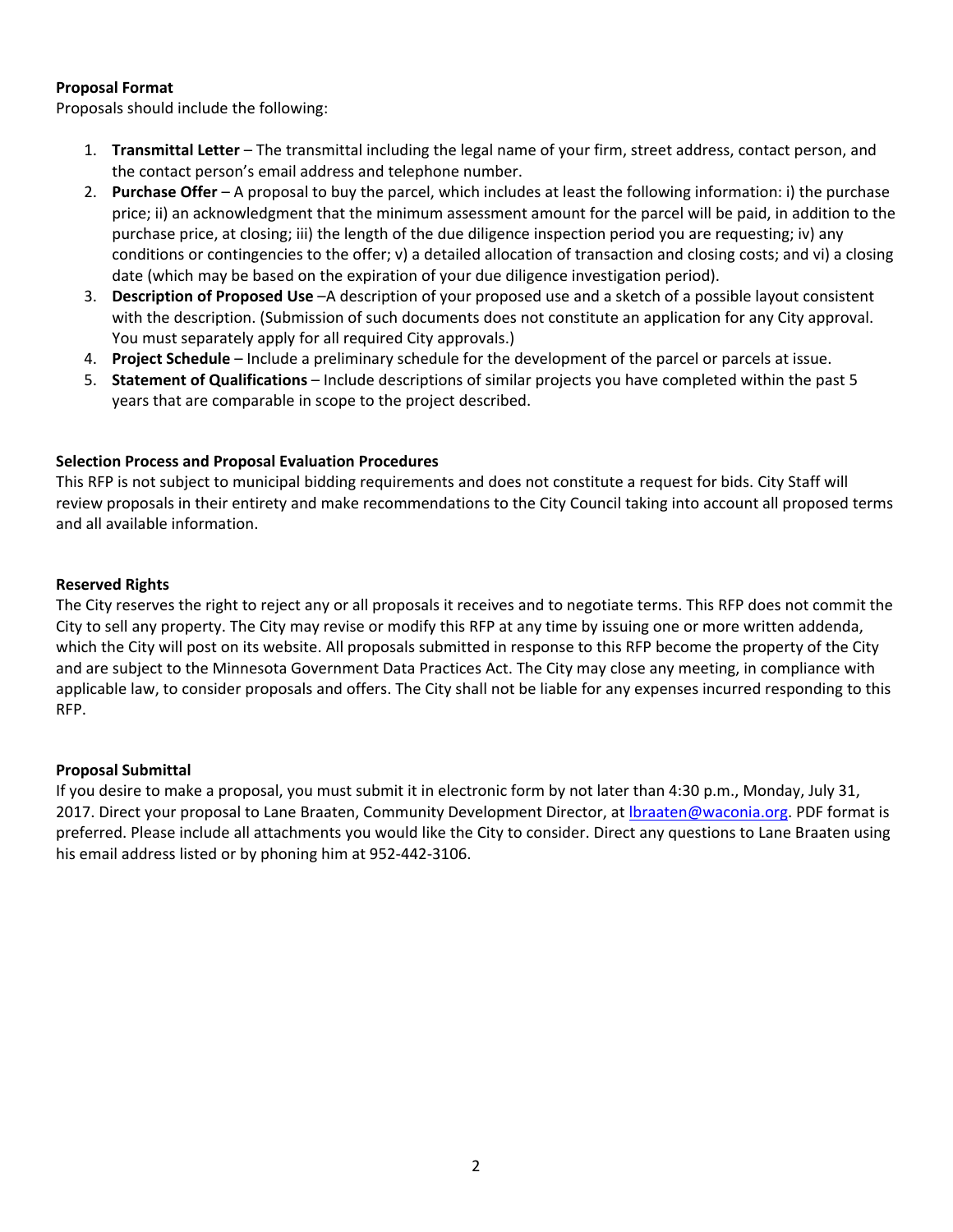### **Proposal Format**

Proposals should include the following:

- 1. **Transmittal Letter** The transmittal including the legal name of your firm, street address, contact person, and the contact person's email address and telephone number.
- 2. **Purchase Offer** A proposal to buy the parcel, which includes at least the following information: i) the purchase price; ii) an acknowledgment that the minimum assessment amount for the parcel will be paid, in addition to the purchase price, at closing; iii) the length of the due diligence inspection period you are requesting; iv) any conditions or contingencies to the offer; v) a detailed allocation of transaction and closing costs; and vi) a closing date (which may be based on the expiration of your due diligence investigation period).
- 3. **Description of Proposed Use** –A description of your proposed use and a sketch of a possible layout consistent with the description. (Submission of such documents does not constitute an application for any City approval. You must separately apply for all required City approvals.)
- 4. **Project Schedule** Include a preliminary schedule for the development of the parcel or parcels at issue.
- 5. **Statement of Qualifications** Include descriptions of similar projects you have completed within the past 5 years that are comparable in scope to the project described.

### **Selection Process and Proposal Evaluation Procedures**

This RFP is not subject to municipal bidding requirements and does not constitute a request for bids. City Staff will review proposals in their entirety and make recommendations to the City Council taking into account all proposed terms and all available information.

#### **Reserved Rights**

The City reserves the right to reject any or all proposals it receives and to negotiate terms. This RFP does not commit the City to sell any property. The City may revise or modify this RFP at any time by issuing one or more written addenda, which the City will post on its website. All proposals submitted in response to this RFP become the property of the City and are subject to the Minnesota Government Data Practices Act. The City may close any meeting, in compliance with applicable law, to consider proposals and offers. The City shall not be liable for any expenses incurred responding to this RFP.

#### **Proposal Submittal**

If you desire to make a proposal, you must submit it in electronic form by not later than 4:30 p.m., Monday, July 31, 2017. Direct your proposal to Lane Braaten, Community Development Director, at *Ibraaten@waconia.org*. PDF format is preferred. Please include all attachments you would like the City to consider. Direct any questions to Lane Braaten using his email address listed or by phoning him at 952‐442‐3106.